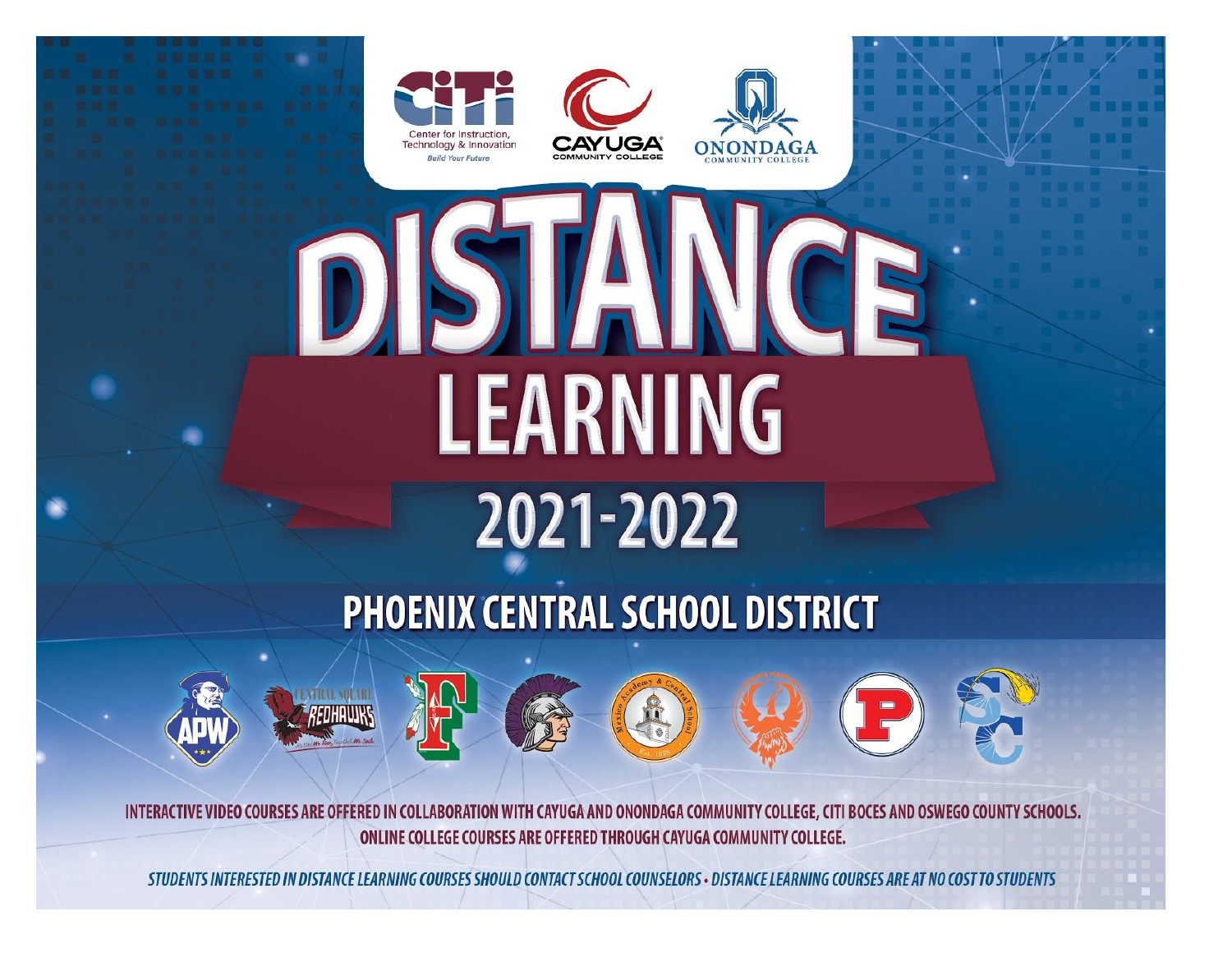







PHOENIX CENTRAL SCHOOL DISTRICT



INTERACTIVE VIDEO COURSES ARE OFFERED IN COLLABORATION WITH CAYUGA AND ONONDAGA COMMUNITY COLLEGE, CITI BOCES AND OSWEGO COUNTY SCHOOLS. ONLINE COLLEGE COURSES ARE OFFERED THROUGH CAYUGA COMMUNITY COLLEGE.

STUDENTS INTERESTED IN DISTANCE LEARNING COURSES SHOULD CONTACT SCHOOL COUNSELORS · DISTANCE LEARNING COURSES ARE AT NO COST TO STUDENTS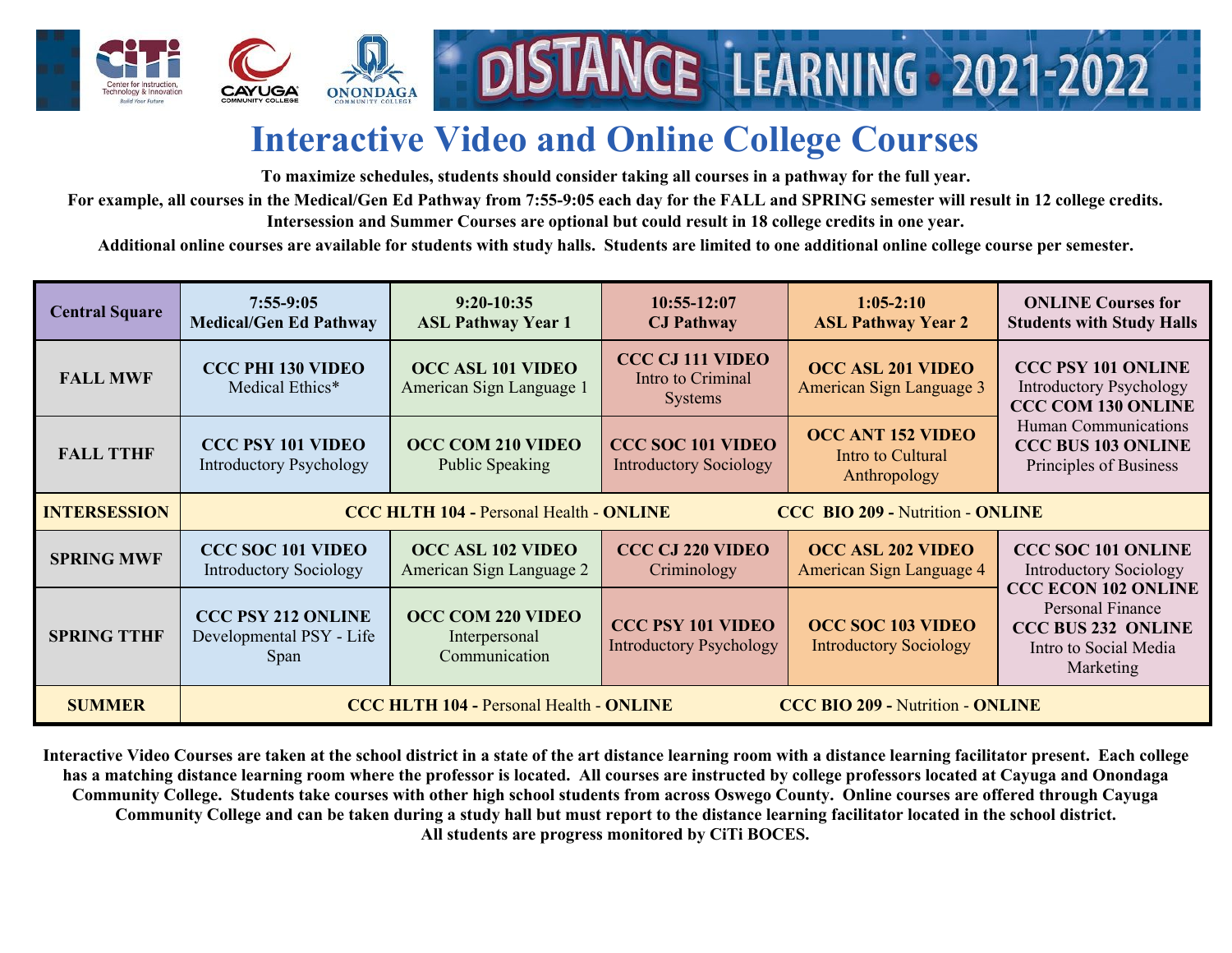

# **Interactive Video and Online College Courses**

 **To maximize schedules, students should consider taking all courses in a pathway for the full year.**

For example, all courses in the Medical/Gen Ed Pathway from 7:55-9:05 each day for the FALL and SPRING semester will result in 12 college credits.  **Intersession and Summer Courses are optional but could result in 18 college credits in one year.**

Additional online courses are available for students with study halls. Students are limited to one additional online college course per semester.

| <b>Central Square</b> | $7:55-9:05$<br><b>Medical/Gen Ed Pathway</b>                                              | $9:20-10:35$<br><b>ASL Pathway Year 1</b>                  | $10:55-12:07$<br><b>CJ Pathway</b>                             | $1:05-2:10$<br><b>ASL Pathway Year 2</b>                  | <b>ONLINE Courses for</b><br><b>Students with Study Halls</b>                            |
|-----------------------|-------------------------------------------------------------------------------------------|------------------------------------------------------------|----------------------------------------------------------------|-----------------------------------------------------------|------------------------------------------------------------------------------------------|
| <b>FALL MWF</b>       | <b>CCC PHI 130 VIDEO</b><br>Medical Ethics*                                               | <b>OCC ASL 101 VIDEO</b><br>American Sign Language 1       | <b>CCC CJ 111 VIDEO</b><br>Intro to Criminal<br><b>Systems</b> | <b>OCC ASL 201 VIDEO</b><br>American Sign Language 3      | <b>CCC PSY 101 ONLINE</b><br><b>Introductory Psychology</b><br><b>CCC COM 130 ONLINE</b> |
| <b>FALL TTHF</b>      | <b>CCC PSY 101 VIDEO</b><br><b>Introductory Psychology</b>                                | <b>OCC COM 210 VIDEO</b><br><b>Public Speaking</b>         | <b>CCC SOC 101 VIDEO</b><br><b>Introductory Sociology</b>      | OCC ANT 152 VIDEO<br>Intro to Cultural<br>Anthropology    | Human Communications<br><b>CCC BUS 103 ONLINE</b><br>Principles of Business              |
| <b>INTERSESSION</b>   | <b>CCC HLTH 104 - Personal Health - ONLINE</b><br><b>CCC BIO 209 - Nutrition - ONLINE</b> |                                                            |                                                                |                                                           |                                                                                          |
| <b>SPRING MWF</b>     | <b>CCC SOC 101 VIDEO</b><br><b>Introductory Sociology</b>                                 | <b>OCC ASL 102 VIDEO</b><br>American Sign Language 2       | <b>CCC CJ 220 VIDEO</b><br>Criminology                         | <b>OCC ASL 202 VIDEO</b><br>American Sign Language 4      | <b>CCC SOC 101 ONLINE</b><br><b>Introductory Sociology</b><br><b>CCC ECON 102 ONLINE</b> |
| <b>SPRING TTHF</b>    | <b>CCC PSY 212 ONLINE</b><br>Developmental PSY - Life<br>Span                             | <b>OCC COM 220 VIDEO</b><br>Interpersonal<br>Communication | <b>CCC PSY 101 VIDEO</b><br><b>Introductory Psychology</b>     | <b>OCC SOC 103 VIDEO</b><br><b>Introductory Sociology</b> | Personal Finance<br><b>CCC BUS 232 ONLINE</b><br>Intro to Social Media<br>Marketing      |
| <b>SUMMER</b>         | <b>CCC HLTH 104 - Personal Health - ONLINE</b><br><b>CCC BIO 209 - Nutrition - ONLINE</b> |                                                            |                                                                |                                                           |                                                                                          |

Interactive Video Courses are taken at the school district in a state of the art distance learning room with a distance learning facilitator present. Each college has a matching distance learning room where the professor is located. All courses are instructed by college professors located at Cayuga and Onondaga Community College. Students take courses with other high school students from across Oswego County. Online courses are offered through Cayuga Community College and can be taken during a study hall but must report to the distance learning facilitator located in the school district.  **All students are progress monitored by CiTi BOCES.**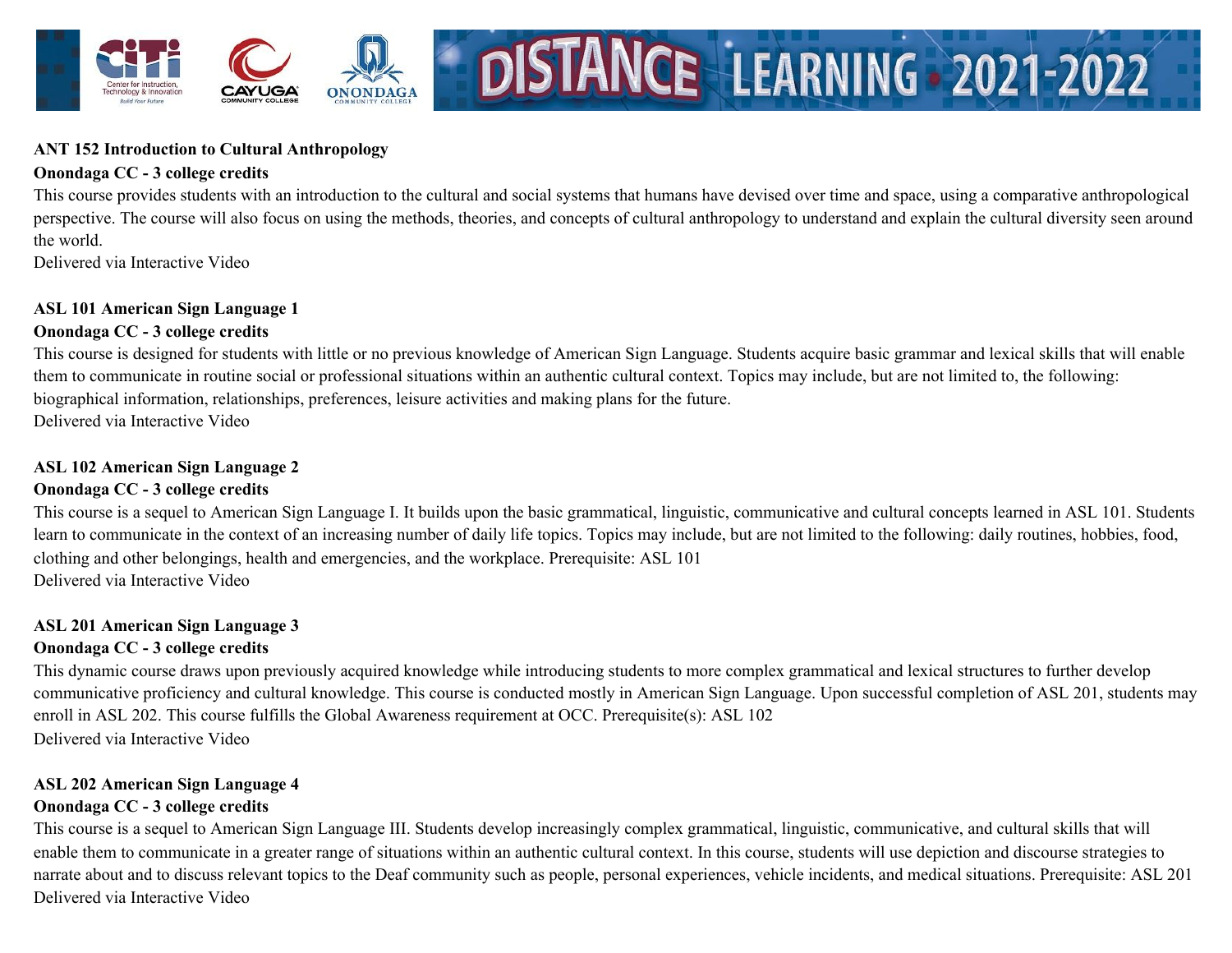

#### **ANT 152 Introduction to Cultural Anthropology**

#### **Onondaga CC - 3 college credits**

 This course provides students with an introduction to the cultural and social systems that humans have devised over time and space, using a comparative anthropological perspective. The course will also focus on using the methods, theories, and concepts of cultural anthropology to understand and explain the cultural diversity seen around the world.

DISTANCE LEARNING 2021-2022

Delivered via Interactive Video

# **ASL 101 American Sign Language 1**

### **Onondaga CC - 3 college credits**

 This course is designed for students with little or no previous knowledge of American Sign Language. Students acquire basic grammar and lexical skills that will enable them to communicate in routine social or professional situations within an authentic cultural context. Topics may include, but are not limited to, the following: biographical information, relationships, preferences, leisure activities and making plans for the future. Delivered via Interactive Video

# **ASL 102 American Sign Language 2 Onondaga CC - 3 college credits**

 This course is a sequel to American Sign Language I. It builds upon the basic grammatical, linguistic, communicative and cultural concepts learned in ASL 101. Students learn to communicate in the context of an increasing number of daily life topics. Topics may include, but are not limited to the following: daily routines, hobbies, food, clothing and other belongings, health and emergencies, and the workplace. Prerequisite: ASL 101 Delivered via Interactive Video

# **ASL 201 American Sign Language 3 Onondaga CC - 3 college credits**

 This dynamic course draws upon previously acquired knowledge while introducing students to more complex grammatical and lexical structures to further develop communicative proficiency and cultural knowledge. This course is conducted mostly in American Sign Language. Upon successful completion of ASL 201, students may enroll in ASL 202. This course fulfills the Global Awareness requirement at OCC. Prerequisite(s): ASL 102 Delivered via Interactive Video

#### **ASL 202 American Sign Language 4 Onondaga CC - 3 college credits**

 This course is a sequel to American Sign Language III. Students develop increasingly complex grammatical, linguistic, communicative, and cultural skills that will enable them to communicate in a greater range of situations within an authentic cultural context. In this course, students will use depiction and discourse strategies to narrate about and to discuss relevant topics to the Deaf community such as people, personal experiences, vehicle incidents, and medical situations. Prerequisite: ASL 201 Delivered via Interactive Video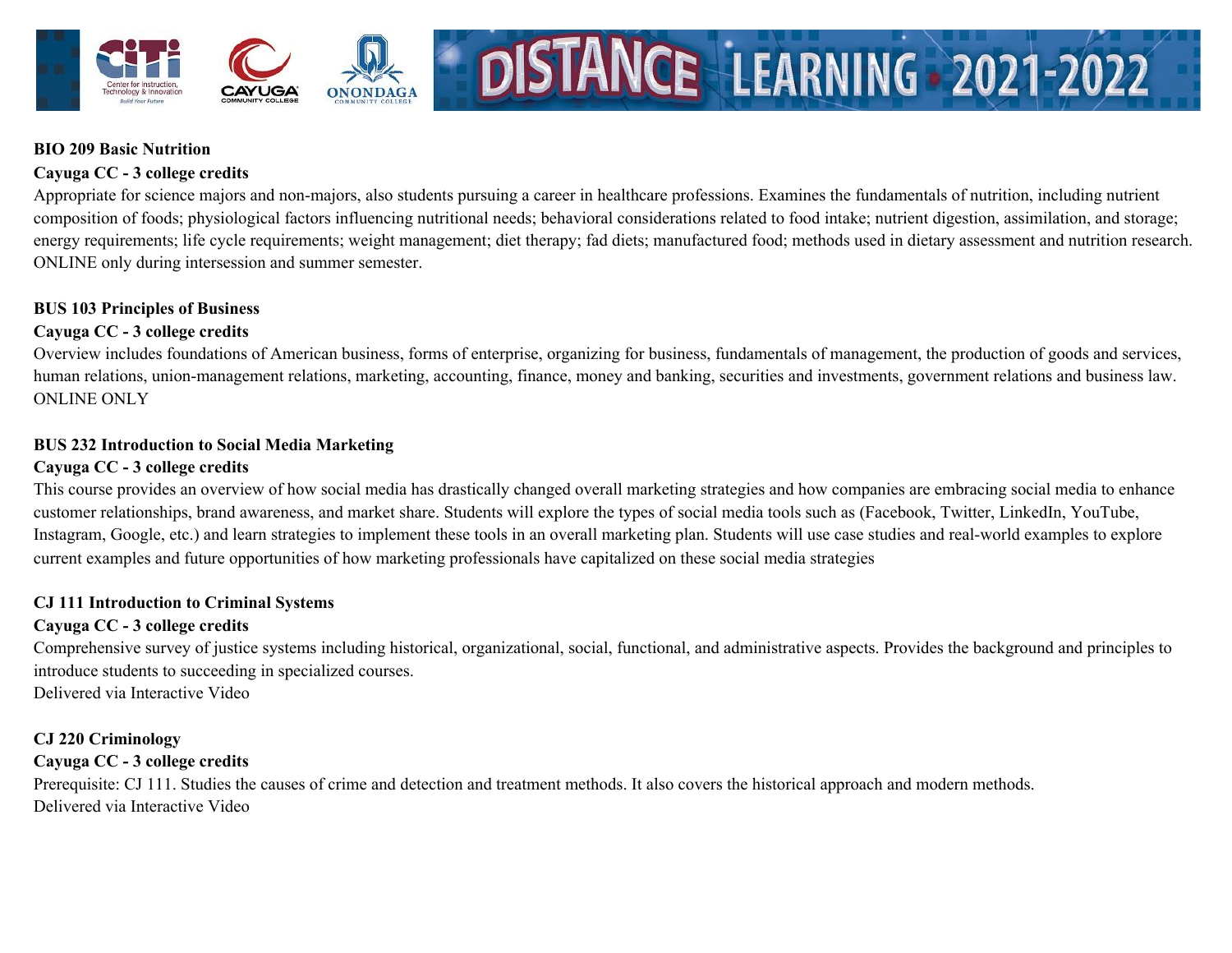

#### **BIO 209 Basic Nutrition**

# **Cayuga CC - 3 college credits**

 Appropriate for science majors and non-majors, also students pursuing a career in healthcare professions. Examines the fundamentals of nutrition, including nutrient composition of foods; physiological factors influencing nutritional needs; behavioral considerations related to food intake; nutrient digestion, assimilation, and storage; energy requirements; life cycle requirements; weight management; diet therapy; fad diets; manufactured food; methods used in dietary assessment and nutrition research. ONLINE only during intersession and summer semester.

DISTANCE LEARNING 2021-2022

### **BUS 103 Principles of Business**

# **Cayuga CC - 3 college credits**

 Overview includes foundations of American business, forms of enterprise, organizing for business, fundamentals of management, the production of goods and services, human relations, union-management relations, marketing, accounting, finance, money and banking, securities and investments, government relations and business law. ONLINE ONLY

#### **BUS 232 Introduction to Social Media Marketing**

### **Cayuga CC - 3 college credits**

 This course provides an overview of how social media has drastically changed overall marketing strategies and how companies are embracing social media to enhance customer relationships, brand awareness, and market share. Students will explore the types of social media tools such as (Facebook, Twitter, LinkedIn, YouTube, Instagram, Google, etc.) and learn strategies to implement these tools in an overall marketing plan. Students will use case studies and real-world examples to explore current examples and future opportunities of how marketing professionals have capitalized on these social media strategies

# **CJ 111 Introduction to Criminal Systems**

# **Cayuga CC - 3 college credits**

 Comprehensive survey of justice systems including historical, organizational, social, functional, and administrative aspects. Provides the background and principles to introduce students to succeeding in specialized courses. Delivered via Interactive Video

# **CJ 220 Criminology**

# **Cayuga CC - 3 college credits**

Prerequisite: CJ 111. Studies the causes of crime and detection and treatment methods. It also covers the historical approach and modern methods. Delivered via Interactive Video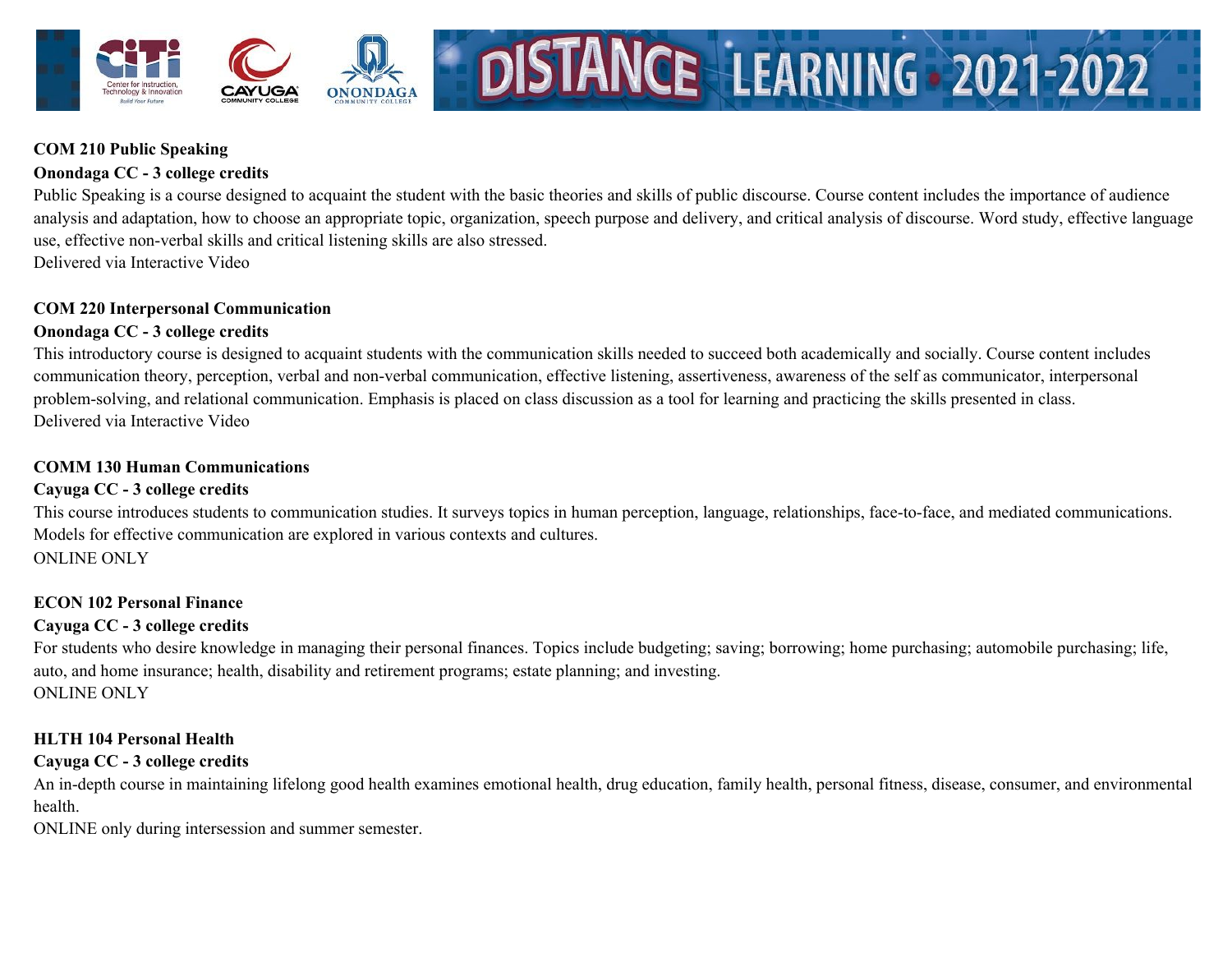

#### **COM 210 Public Speaking**

#### **Onondaga CC - 3 college credits**

 Public Speaking is a course designed to acquaint the student with the basic theories and skills of public discourse. Course content includes the importance of audience analysis and adaptation, how to choose an appropriate topic, organization, speech purpose and delivery, and critical analysis of discourse. Word study, effective language use, effective non-verbal skills and critical listening skills are also stressed. Delivered via Interactive Video

DISTANCE LEARNING 2021-2022

 **COM 220 Interpersonal Communication**

#### **Onondaga CC - 3 college credits**

 This introductory course is designed to acquaint students with the communication skills needed to succeed both academically and socially. Course content includes communication theory, perception, verbal and non-verbal communication, effective listening, assertiveness, awareness of the self as communicator, interpersonal problem-solving, and relational communication. Emphasis is placed on class discussion as a tool for learning and practicing the skills presented in class. Delivered via Interactive Video

### **COMM 130 Human Communications**

#### **Cayuga CC - 3 college credits**

 This course introduces students to communication studies. It surveys topics in human perception, language, relationships, face-to-face, and mediated communications. Models for effective communication are explored in various contexts and cultures. ONLINE ONLY

#### **ECON 102 Personal Finance**

# **Cayuga CC - 3 college credits**

 For students who desire knowledge in managing their personal finances. Topics include budgeting; saving; borrowing; home purchasing; automobile purchasing; life, auto, and home insurance; health, disability and retirement programs; estate planning; and investing. ONLINE ONLY

# **HLTH 104 Personal Health**

# **Cayuga CC - 3 college credits**

 An in-depth course in maintaining lifelong good health examines emotional health, drug education, family health, personal fitness, disease, consumer, and environmental health.

ONLINE only during intersession and summer semester.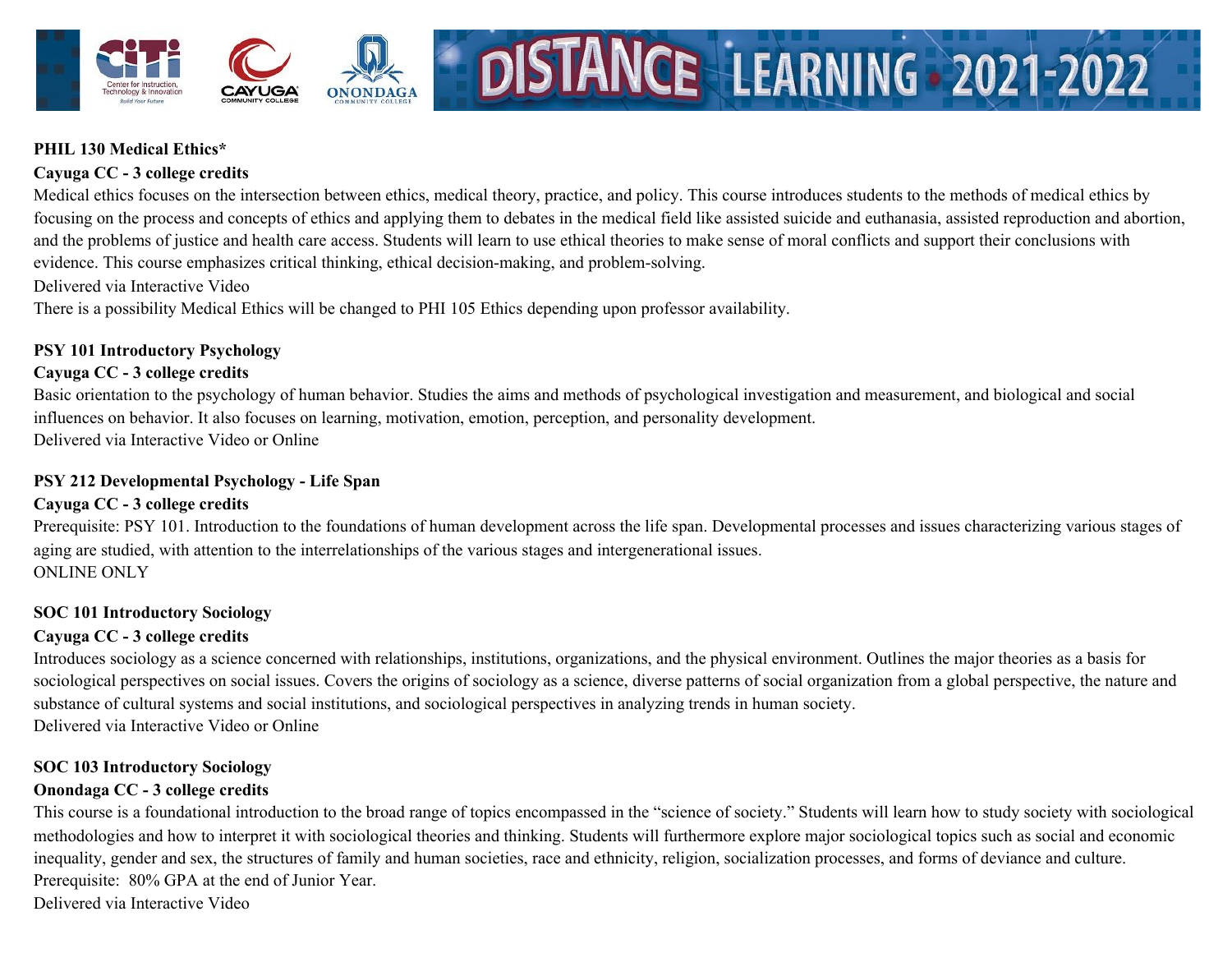

#### **PHIL 130 Medical Ethics\***

#### **Cayuga CC - 3 college credits**

 Medical ethics focuses on the intersection between ethics, medical theory, practice, and policy. This course introduces students to the methods of medical ethics by focusing on the process and concepts of ethics and applying them to debates in the medical field like assisted suicide and euthanasia, assisted reproduction and abortion, and the problems of justice and health care access. Students will learn to use ethical theories to make sense of moral conflicts and support their conclusions with evidence. This course emphasizes critical thinking, ethical decision-making, and problem-solving.

DISTANCE LEARNING 2021-2022

Delivered via Interactive Video

There is a possibility Medical Ethics will be changed to PHI 105 Ethics depending upon professor availability.

#### **PSY 101 Introductory Psychology**

#### **Cayuga CC - 3 college credits**

 Basic orientation to the psychology of human behavior. Studies the aims and methods of psychological investigation and measurement, and biological and social influences on behavior. It also focuses on learning, motivation, emotion, perception, and personality development. Delivered via Interactive Video or Online

#### **PSY 212 Developmental Psychology - Life Span**

#### **Cayuga CC - 3 college credits**

Prerequisite: PSY 101. Introduction to the foundations of human development across the life span. Developmental processes and issues characterizing various stages of aging are studied, with attention to the interrelationships of the various stages and intergenerational issues. ONLINE ONLY

#### **SOC 101 Introductory Sociology**

#### **Cayuga CC - 3 college credits**

 Introduces sociology as a science concerned with relationships, institutions, organizations, and the physical environment. Outlines the major theories as a basis for sociological perspectives on social issues. Covers the origins of sociology as a science, diverse patterns of social organization from a global perspective, the nature and substance of cultural systems and social institutions, and sociological perspectives in analyzing trends in human society. Delivered via Interactive Video or Online

#### **SOC 103 Introductory Sociology**

#### **Onondaga CC - 3 college credits**

 This course is a foundational introduction to the broad range of topics encompassed in the "science of society." Students will learn how to study society with sociological methodologies and how to interpret it with sociological theories and thinking. Students will furthermore explore major sociological topics such as social and economic inequality, gender and sex, the structures of family and human societies, race and ethnicity, religion, socialization processes, and forms of deviance and culture. Prerequisite: 80% GPA at the end of Junior Year.

Delivered via Interactive Video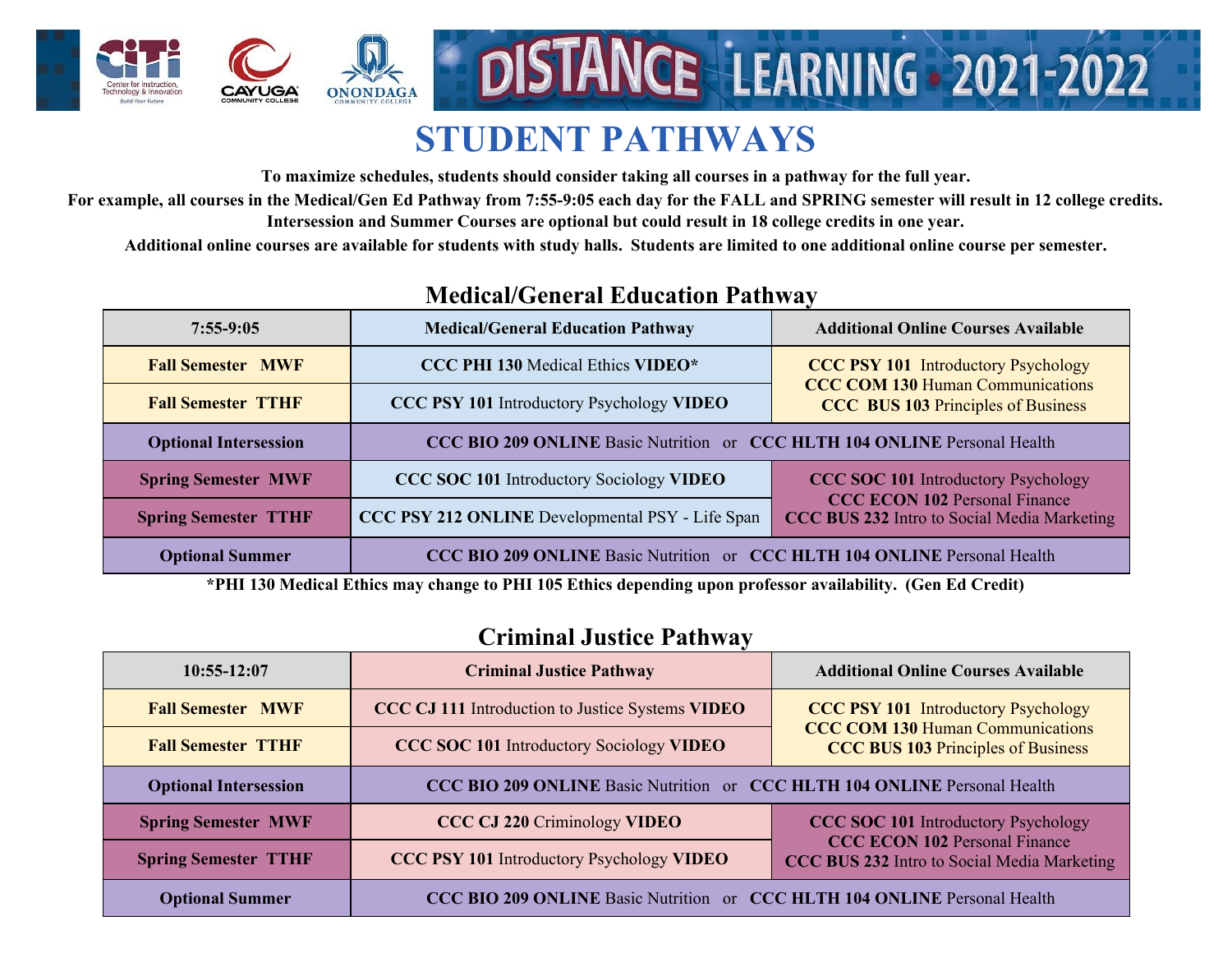

# **STUDENT PATHWAYS**

 **To maximize schedules, students should consider taking all courses in a pathway for the full year.**

For example, all courses in the Medical/Gen Ed Pathway from 7:55-9:05 each day for the FALL and SPRING semester will result in 12 college credits.  **Intersession and Summer Courses are optional but could result in 18 college credits in one year.**

Additional online courses are available for students with study halls. Students are limited to one additional online course per semester.

# **Medical/General Education Pathway**

| $7:55-9:05$                  | <b>Medical/General Education Pathway</b>                                         | <b>Additional Online Courses Available</b>                                                                                               |  |
|------------------------------|----------------------------------------------------------------------------------|------------------------------------------------------------------------------------------------------------------------------------------|--|
| <b>Fall Semester MWF</b>     | <b>CCC PHI 130 Medical Ethics VIDEO*</b>                                         | <b>CCC PSY 101</b> Introductory Psychology<br><b>CCC COM 130 Human Communications</b><br><b>CCC BUS 103 Principles of Business</b>       |  |
| <b>Fall Semester TTHF</b>    | CCC PSY 101 Introductory Psychology VIDEO                                        |                                                                                                                                          |  |
| <b>Optional Intersession</b> | CCC BIO 209 ONLINE Basic Nutrition or CCC HLTH 104 ONLINE Personal Health        |                                                                                                                                          |  |
| <b>Spring Semester MWF</b>   | CCC SOC 101 Introductory Sociology VIDEO                                         | <b>CCC SOC 101 Introductory Psychology</b><br><b>CCC ECON 102 Personal Finance</b><br><b>CCC BUS 232 Intro to Social Media Marketing</b> |  |
| <b>Spring Semester TTHF</b>  | CCC PSY 212 ONLINE Developmental PSY - Life Span                                 |                                                                                                                                          |  |
| <b>Optional Summer</b>       | <b>CCC BIO 209 ONLINE Basic Nutrition or CCC HLTH 104 ONLINE Personal Health</b> |                                                                                                                                          |  |

\*PHI 130 Medical Ethics may change to PHI 105 Ethics depending upon professor availability. (Gen Ed Credit)

# **Criminal Justice Pathway**

| $10:55-12:07$                | <b>Criminal Justice Pathway</b>                                                  | <b>Additional Online Courses Available</b>                                                                                               |  |
|------------------------------|----------------------------------------------------------------------------------|------------------------------------------------------------------------------------------------------------------------------------------|--|
| <b>Fall Semester MWF</b>     | CCC CJ 111 Introduction to Justice Systems VIDEO                                 | <b>CCC PSY 101</b> Introductory Psychology<br><b>CCC COM 130 Human Communications</b><br><b>CCC BUS 103 Principles of Business</b>       |  |
| <b>Fall Semester TTHF</b>    | <b>CCC SOC 101 Introductory Sociology VIDEO</b>                                  |                                                                                                                                          |  |
| <b>Optional Intersession</b> | CCC BIO 209 ONLINE Basic Nutrition or CCC HLTH 104 ONLINE Personal Health        |                                                                                                                                          |  |
| <b>Spring Semester MWF</b>   | <b>CCC CJ 220 Criminology VIDEO</b>                                              | <b>CCC SOC 101 Introductory Psychology</b><br><b>CCC ECON 102 Personal Finance</b><br><b>CCC BUS 232 Intro to Social Media Marketing</b> |  |
| <b>Spring Semester TTHF</b>  | <b>CCC PSY 101 Introductory Psychology VIDEO</b>                                 |                                                                                                                                          |  |
| <b>Optional Summer</b>       | <b>CCC BIO 209 ONLINE Basic Nutrition or CCC HLTH 104 ONLINE Personal Health</b> |                                                                                                                                          |  |